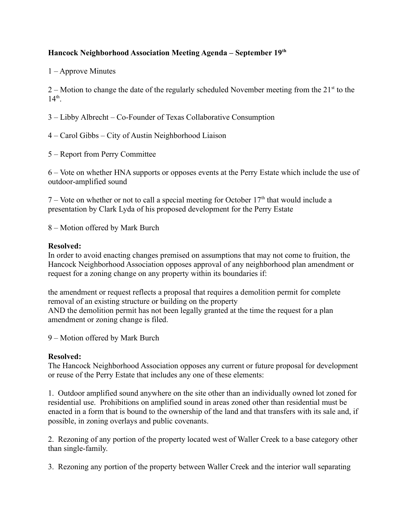## **Hancock Neighborhood Association Meeting Agenda – September 19th**

1 – Approve Minutes

2 – Motion to change the date of the regularly scheduled November meeting from the  $21<sup>st</sup>$  to the  $14<sup>th</sup>$ .

3 – Libby Albrecht – Co-Founder of Texas Collaborative Consumption

4 – Carol Gibbs – City of Austin Neighborhood Liaison

5 – Report from Perry Committee

6 – Vote on whether HNA supports or opposes events at the Perry Estate which include the use of outdoor-amplified sound

7 – Vote on whether or not to call a special meeting for October  $17<sup>th</sup>$  that would include a presentation by Clark Lyda of his proposed development for the Perry Estate

8 – Motion offered by Mark Burch

## **Resolved:**

In order to avoid enacting changes premised on assumptions that may not come to fruition, the Hancock Neighborhood Association opposes approval of any neighborhood plan amendment or request for a zoning change on any property within its boundaries if:

the amendment or request reflects a proposal that requires a demolition permit for complete removal of an existing structure or building on the property AND the demolition permit has not been legally granted at the time the request for a plan amendment or zoning change is filed.

9 – Motion offered by Mark Burch

## **Resolved:**

The Hancock Neighborhood Association opposes any current or future proposal for development or reuse of the Perry Estate that includes any one of these elements:

1. Outdoor amplified sound anywhere on the site other than an individually owned lot zoned for residential use. Prohibitions on amplified sound in areas zoned other than residential must be enacted in a form that is bound to the ownership of the land and that transfers with its sale and, if possible, in zoning overlays and public covenants.

2. Rezoning of any portion of the property located west of Waller Creek to a base category other than single-family.

3. Rezoning any portion of the property between Waller Creek and the interior wall separating